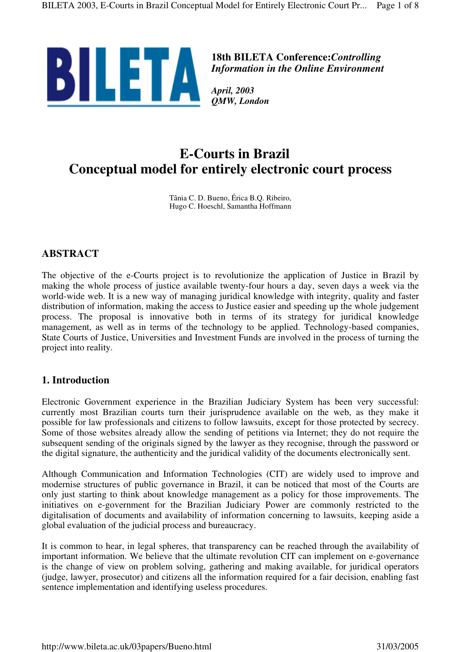

**18th BILETA Conference:***Controlling Information in the Online Environment*

*April, 2003 QMW, London*

# **E-Courts in Brazil Conceptual model for entirely electronic court process**

Tânia C. D. Bueno, Érica B.Q. Ribeiro, Hugo C. Hoeschl, Samantha Hoffmann

# **ABSTRACT**

The objective of the e-Courts project is to revolutionize the application of Justice in Brazil by making the whole process of justice available twenty-four hours a day, seven days a week via the world-wide web. It is a new way of managing juridical knowledge with integrity, quality and faster distribution of information, making the access to Justice easier and speeding up the whole judgement process. The proposal is innovative both in terms of its strategy for juridical knowledge management, as well as in terms of the technology to be applied. Technology-based companies, State Courts of Justice, Universities and Investment Funds are involved in the process of turning the project into reality.

## **1. Introduction**

Electronic Government experience in the Brazilian Judiciary System has been very successful: currently most Brazilian courts turn their jurisprudence available on the web, as they make it possible for law professionals and citizens to follow lawsuits, except for those protected by secrecy. Some of those websites already allow the sending of petitions via Internet; they do not require the subsequent sending of the originals signed by the lawyer as they recognise, through the password or the digital signature, the authenticity and the juridical validity of the documents electronically sent.

Although Communication and Information Technologies (CIT) are widely used to improve and modernise structures of public governance in Brazil, it can be noticed that most of the Courts are only just starting to think about knowledge management as a policy for those improvements. The initiatives on e-government for the Brazilian Judiciary Power are commonly restricted to the digitalisation of documents and availability of information concerning to lawsuits, keeping aside a global evaluation of the judicial process and bureaucracy.

It is common to hear, in legal spheres, that transparency can be reached through the availability of important information. We believe that the ultimate revolution CIT can implement on e-governance is the change of view on problem solving, gathering and making available, for juridical operators (judge, lawyer, prosecutor) and citizens all the information required for a fair decision, enabling fast sentence implementation and identifying useless procedures.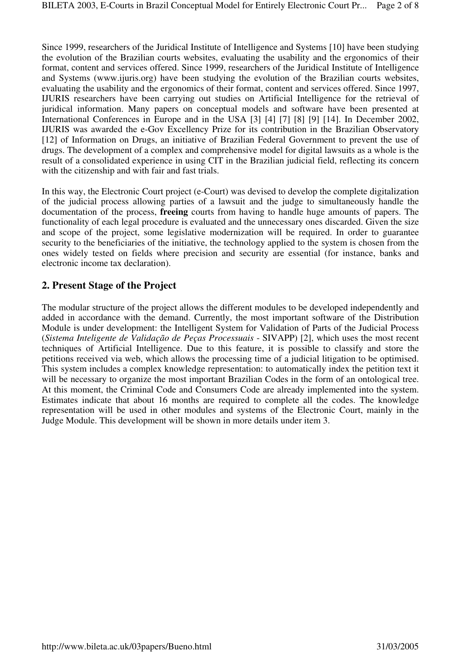Since 1999, researchers of the Juridical Institute of Intelligence and Systems [10] have been studying the evolution of the Brazilian courts websites, evaluating the usability and the ergonomics of their format, content and services offered. Since 1999, researchers of the Juridical Institute of Intelligence and Systems (www.ijuris.org) have been studying the evolution of the Brazilian courts websites, evaluating the usability and the ergonomics of their format, content and services offered. Since 1997, IJURIS researchers have been carrying out studies on Artificial Intelligence for the retrieval of juridical information. Many papers on conceptual models and software have been presented at International Conferences in Europe and in the USA [3] [4] [7] [8] [9] [14]. In December 2002, IJURIS was awarded the e-Gov Excellency Prize for its contribution in the Brazilian Observatory [12] of Information on Drugs, an initiative of Brazilian Federal Government to prevent the use of drugs. The development of a complex and comprehensive model for digital lawsuits as a whole is the result of a consolidated experience in using CIT in the Brazilian judicial field, reflecting its concern with the citizenship and with fair and fast trials.

In this way, the Electronic Court project (e-Court) was devised to develop the complete digitalization of the judicial process allowing parties of a lawsuit and the judge to simultaneously handle the documentation of the process, **freeing** courts from having to handle huge amounts of papers. The functionality of each legal procedure is evaluated and the unnecessary ones discarded. Given the size and scope of the project, some legislative modernization will be required. In order to guarantee security to the beneficiaries of the initiative, the technology applied to the system is chosen from the ones widely tested on fields where precision and security are essential (for instance, banks and electronic income tax declaration).

## **2. Present Stage of the Project**

The modular structure of the project allows the different modules to be developed independently and added in accordance with the demand. Currently, the most important software of the Distribution Module is under development: the Intelligent System for Validation of Parts of the Judicial Process (*Sistema Inteligente de Validação de Peças Processuais* - SIVAPP) [2], which uses the most recent techniques of Artificial Intelligence. Due to this feature, it is possible to classify and store the petitions received via web, which allows the processing time of a judicial litigation to be optimised. This system includes a complex knowledge representation: to automatically index the petition text it will be necessary to organize the most important Brazilian Codes in the form of an ontological tree. At this moment, the Criminal Code and Consumers Code are already implemented into the system. Estimates indicate that about 16 months are required to complete all the codes. The knowledge representation will be used in other modules and systems of the Electronic Court, mainly in the Judge Module. This development will be shown in more details under item 3.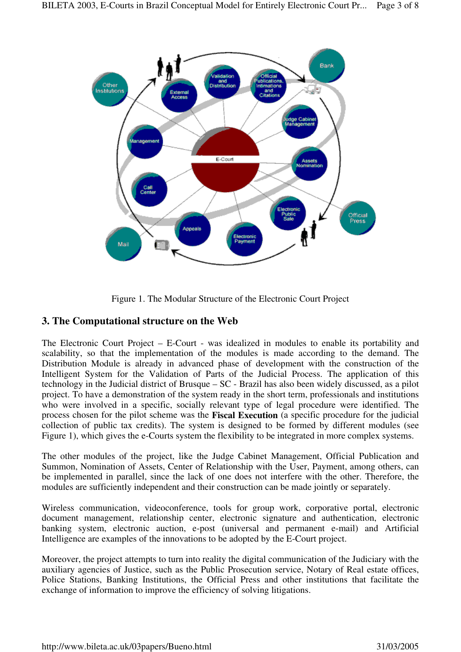

Figure 1. The Modular Structure of the Electronic Court Project

## **3. The Computational structure on the Web**

The Electronic Court Project – E-Court - was idealized in modules to enable its portability and scalability, so that the implementation of the modules is made according to the demand. The Distribution Module is already in advanced phase of development with the construction of the Intelligent System for the Validation of Parts of the Judicial Process. The application of this technology in the Judicial district of Brusque – SC - Brazil has also been widely discussed, as a pilot project. To have a demonstration of the system ready in the short term, professionals and institutions who were involved in a specific, socially relevant type of legal procedure were identified. The process chosen for the pilot scheme was the **Fiscal Execution** (a specific procedure for the judicial collection of public tax credits). The system is designed to be formed by different modules (see Figure 1), which gives the e-Courts system the flexibility to be integrated in more complex systems.

The other modules of the project, like the Judge Cabinet Management, Official Publication and Summon, Nomination of Assets, Center of Relationship with the User, Payment, among others, can be implemented in parallel, since the lack of one does not interfere with the other. Therefore, the modules are sufficiently independent and their construction can be made jointly or separately.

Wireless communication, videoconference, tools for group work, corporative portal, electronic document management, relationship center, electronic signature and authentication, electronic banking system, electronic auction, e-post (universal and permanent e-mail) and Artificial Intelligence are examples of the innovations to be adopted by the E-Court project.

Moreover, the project attempts to turn into reality the digital communication of the Judiciary with the auxiliary agencies of Justice, such as the Public Prosecution service, Notary of Real estate offices, Police Stations, Banking Institutions, the Official Press and other institutions that facilitate the exchange of information to improve the efficiency of solving litigations.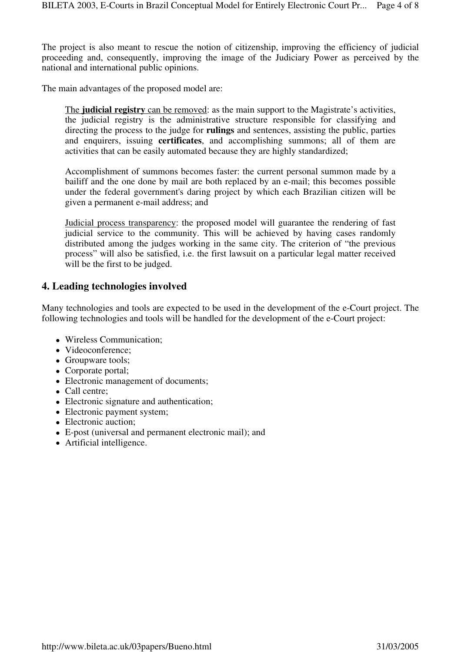The project is also meant to rescue the notion of citizenship, improving the efficiency of judicial proceeding and, consequently, improving the image of the Judiciary Power as perceived by the national and international public opinions.

The main advantages of the proposed model are:

The **judicial registry** can be removed: as the main support to the Magistrate's activities, the judicial registry is the administrative structure responsible for classifying and directing the process to the judge for **rulings** and sentences, assisting the public, parties and enquirers, issuing **certificates**, and accomplishing summons; all of them are activities that can be easily automated because they are highly standardized;

Accomplishment of summons becomes faster: the current personal summon made by a bailiff and the one done by mail are both replaced by an e-mail; this becomes possible under the federal government's daring project by which each Brazilian citizen will be given a permanent e-mail address; and

Judicial process transparency: the proposed model will guarantee the rendering of fast judicial service to the community. This will be achieved by having cases randomly distributed among the judges working in the same city. The criterion of "the previous process" will also be satisfied, i.e. the first lawsuit on a particular legal matter received will be the first to be judged.

#### **4. Leading technologies involved**

Many technologies and tools are expected to be used in the development of the e-Court project. The following technologies and tools will be handled for the development of the e-Court project:

- Wireless Communication:
- Videoconference:
- Groupware tools;
- Corporate portal;
- Electronic management of documents;
- Call centre;
- Electronic signature and authentication;
- Electronic payment system:
- Electronic auction;
- E-post (universal and permanent electronic mail); and
- Artificial intelligence.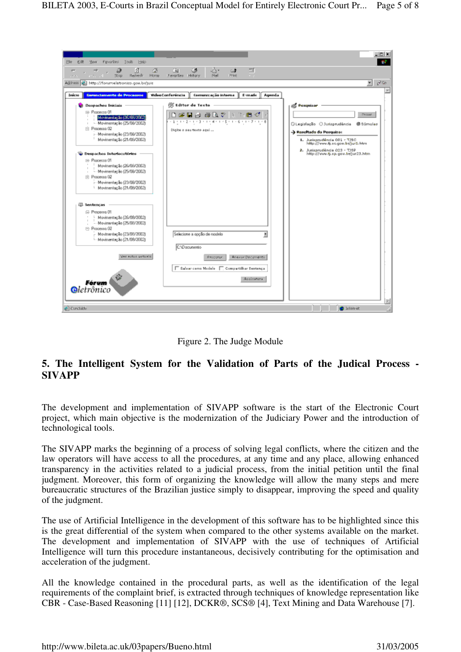



# **5. The Intelligent System for the Validation of Parts of the Judical Process - SIVAPP**

The development and implementation of SIVAPP software is the start of the Electronic Court project, which main objective is the modernization of the Judiciary Power and the introduction of technological tools.

The SIVAPP marks the beginning of a process of solving legal conflicts, where the citizen and the law operators will have access to all the procedures, at any time and any place, allowing enhanced transparency in the activities related to a judicial process, from the initial petition until the final judgment. Moreover, this form of organizing the knowledge will allow the many steps and mere bureaucratic structures of the Brazilian justice simply to disappear, improving the speed and quality of the judgment.

The use of Artificial Intelligence in the development of this software has to be highlighted since this is the great differential of the system when compared to the other systems available on the market. The development and implementation of SIVAPP with the use of techniques of Artificial Intelligence will turn this procedure instantaneous, decisively contributing for the optimisation and acceleration of the judgment.

All the knowledge contained in the procedural parts, as well as the identification of the legal requirements of the complaint brief, is extracted through techniques of knowledge representation like CBR - Case-Based Reasoning [11] [12], DCKR®, SCS® [4], Text Mining and Data Warehouse [7].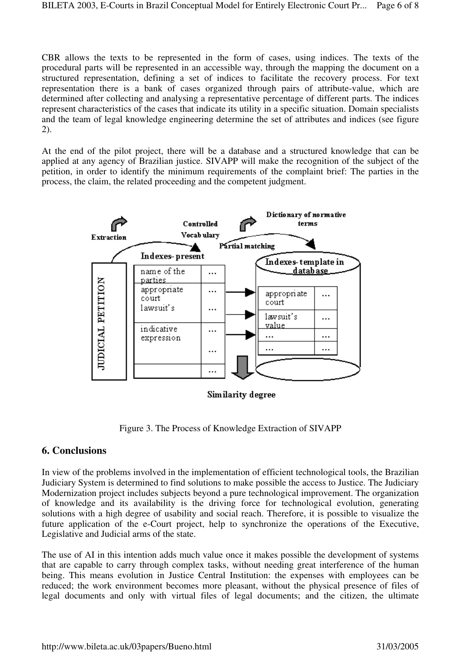CBR allows the texts to be represented in the form of cases, using indices. The texts of the procedural parts will be represented in an accessible way, through the mapping the document on a structured representation, defining a set of indices to facilitate the recovery process. For text representation there is a bank of cases organized through pairs of attribute-value, which are determined after collecting and analysing a representative percentage of different parts. The indices represent characteristics of the cases that indicate its utility in a specific situation. Domain specialists and the team of legal knowledge engineering determine the set of attributes and indices (see figure 2).

At the end of the pilot project, there will be a database and a structured knowledge that can be applied at any agency of Brazilian justice. SIVAPP will make the recognition of the subject of the petition, in order to identify the minimum requirements of the complaint brief: The parties in the process, the claim, the related proceeding and the competent judgment.



Figure 3. The Process of Knowledge Extraction of SIVAPP

# **6. Conclusions**

In view of the problems involved in the implementation of efficient technological tools, the Brazilian Judiciary System is determined to find solutions to make possible the access to Justice. The Judiciary Modernization project includes subjects beyond a pure technological improvement. The organization of knowledge and its availability is the driving force for technological evolution, generating solutions with a high degree of usability and social reach. Therefore, it is possible to visualize the future application of the e-Court project, help to synchronize the operations of the Executive, Legislative and Judicial arms of the state.

The use of AI in this intention adds much value once it makes possible the development of systems that are capable to carry through complex tasks, without needing great interference of the human being. This means evolution in Justice Central Institution: the expenses with employees can be reduced; the work environment becomes more pleasant, without the physical presence of files of legal documents and only with virtual files of legal documents; and the citizen, the ultimate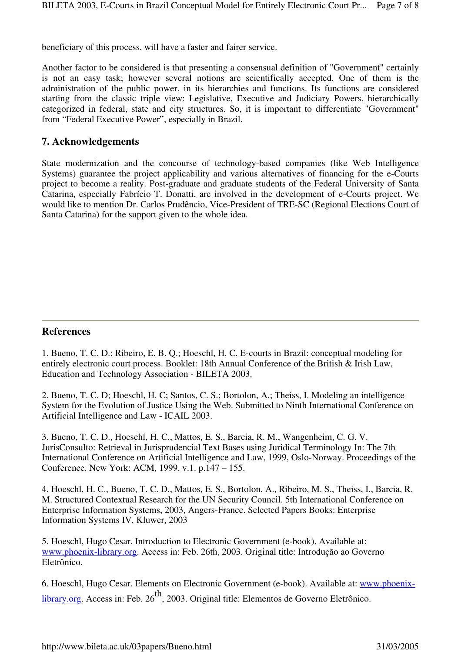beneficiary of this process, will have a faster and fairer service.

Another factor to be considered is that presenting a consensual definition of "Government" certainly is not an easy task; however several notions are scientifically accepted. One of them is the administration of the public power, in its hierarchies and functions. Its functions are considered starting from the classic triple view: Legislative, Executive and Judiciary Powers, hierarchically categorized in federal, state and city structures. So, it is important to differentiate "Government" from "Federal Executive Power", especially in Brazil.

#### **7. Acknowledgements**

State modernization and the concourse of technology-based companies (like Web Intelligence Systems) guarantee the project applicability and various alternatives of financing for the e-Courts project to become a reality. Post-graduate and graduate students of the Federal University of Santa Catarina, especially Fabrício T. Donatti, are involved in the development of e-Courts project. We would like to mention Dr. Carlos Prudêncio, Vice-President of TRE-SC (Regional Elections Court of Santa Catarina) for the support given to the whole idea.

#### **References**

1. Bueno, T. C. D.; Ribeiro, E. B. Q.; Hoeschl, H. C. E-courts in Brazil: conceptual modeling for entirely electronic court process. Booklet: 18th Annual Conference of the British & Irish Law, Education and Technology Association - BILETA 2003.

2. Bueno, T. C. D; Hoeschl, H. C; Santos, C. S.; Bortolon, A.; Theiss, I. Modeling an intelligence System for the Evolution of Justice Using the Web. Submitted to Ninth International Conference on Artificial Intelligence and Law - ICAIL 2003.

3. Bueno, T. C. D., Hoeschl, H. C., Mattos, E. S., Barcia, R. M., Wangenheim, C. G. V. JurisConsulto: Retrieval in Jurisprudencial Text Bases using Juridical Terminology In: The 7th International Conference on Artificial Intelligence and Law, 1999, Oslo-Norway. Proceedings of the Conference. New York: ACM, 1999. v.1. p.147 – 155.

4. Hoeschl, H. C., Bueno, T. C. D., Mattos, E. S., Bortolon, A., Ribeiro, M. S., Theiss, I., Barcia, R. M. Structured Contextual Research for the UN Security Council. 5th International Conference on Enterprise Information Systems, 2003, Angers-France. Selected Papers Books: Enterprise Information Systems IV. Kluwer, 2003

5. Hoeschl, Hugo Cesar. Introduction to Electronic Government (e-book). Available at: www.phoenix-library.org. Access in: Feb. 26th, 2003. Original title: Introdução ao Governo Eletrônico.

6. Hoeschl, Hugo Cesar. Elements on Electronic Government (e-book). Available at: www.phoenixlibrary.org. Access in: Feb.  $26^{th}$ , 2003. Original title: Elementos de Governo Eletrônico.